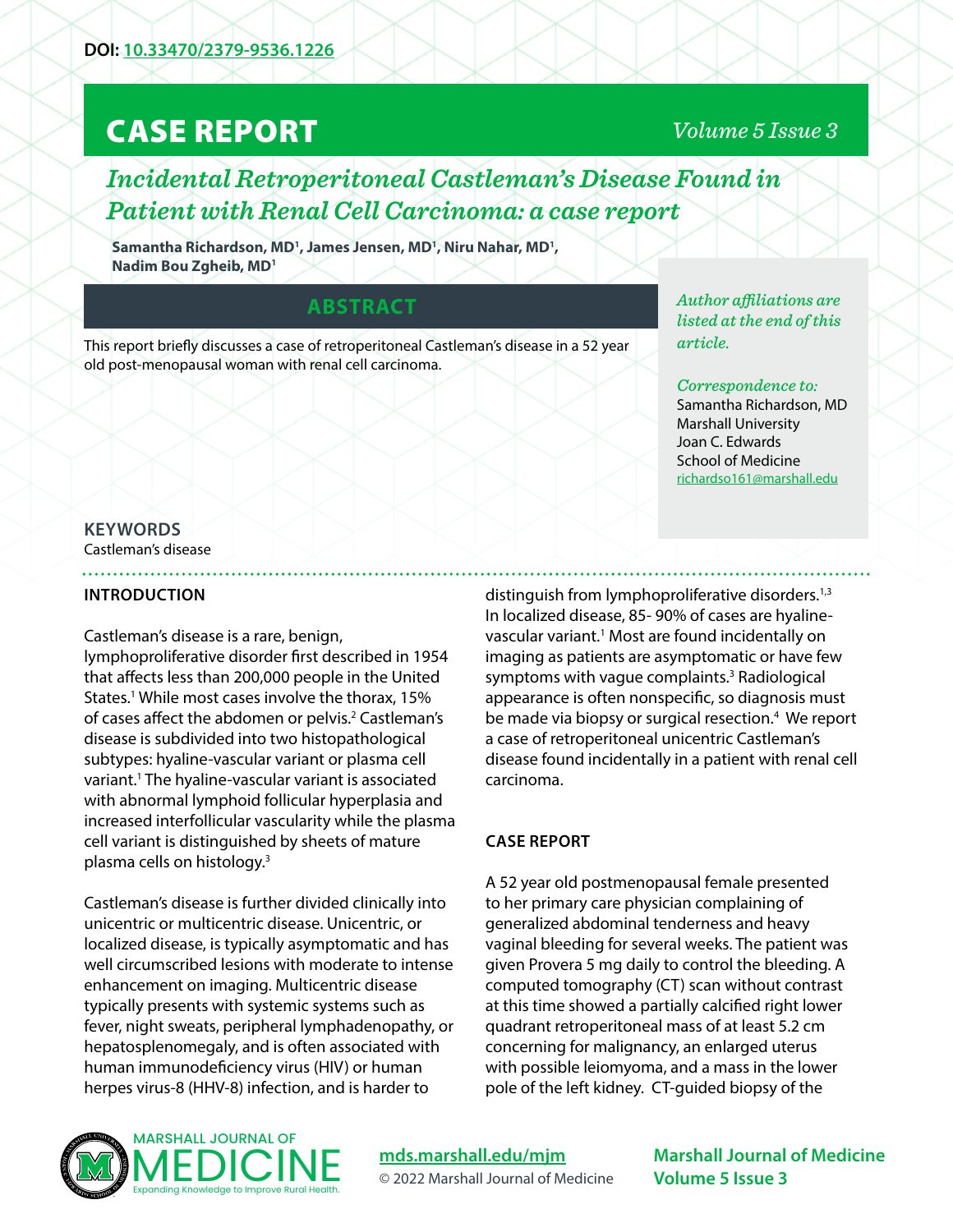# CASE REPORT

## *Volume 5 Issue 3*

## *Incidental Retroperitoneal Castleman's Disease Found in Patient with Renal Cell Carcinoma: a case report*

Samantha Richardson, MD<sup>1</sup>, James Jensen, MD<sup>1</sup>, Niru Nahar, MD<sup>1</sup>, **Nadim Bou Zgheib, MD1**

### **ABSTRACT**

This report briefly discusses a case of retroperitoneal Castleman's disease in a 52 year old post-menopausal woman with renal cell carcinoma.

*Author affiliations are listed at the end of this article.* 

#### *Correspondence to:*

Samantha Richardson, MD Marshall University Joan C. Edwards School of Medicine [richardso161@marshall.edu](mailto:richardso161%40marshall.edu?subject=)

#### **KEYWORDS** Castleman's disease

#### **INTRODUCTION**

#### Castleman's disease is a rare, benign,

lymphoproliferative disorder first described in 1954 that affects less than 200,000 people in the United States.<sup>1</sup> While most cases involve the thorax, 15% of cases affect the abdomen or pelvis.<sup>2</sup> Castleman's disease is subdivided into two histopathological subtypes: hyaline-vascular variant or plasma cell variant.1 The hyaline-vascular variant is associated with abnormal lymphoid follicular hyperplasia and increased interfollicular vascularity while the plasma cell variant is distinguished by sheets of mature plasma cells on histology.3

Castleman's disease is further divided clinically into unicentric or multicentric disease. Unicentric, or localized disease, is typically asymptomatic and has well circumscribed lesions with moderate to intense enhancement on imaging. Multicentric disease typically presents with systemic systems such as fever, night sweats, peripheral lymphadenopathy, or hepatosplenomegaly, and is often associated with human immunodeficiency virus (HIV) or human herpes virus-8 (HHV-8) infection, and is harder to

distinguish from lymphoproliferative disorders.<sup>1,3</sup> In localized disease, 85- 90% of cases are hyalinevascular variant.<sup>1</sup> Most are found incidentally on imaging as patients are asymptomatic or have few symptoms with vague complaints.<sup>3</sup> Radiological appearance is often nonspecific, so diagnosis must be made via biopsy or surgical resection.<sup>4</sup> We report a case of retroperitoneal unicentric Castleman's disease found incidentally in a patient with renal cell carcinoma.

#### **CASE REPORT**

A 52 year old postmenopausal female presented to her primary care physician complaining of generalized abdominal tenderness and heavy vaginal bleeding for several weeks. The patient was given Provera 5 mg daily to control the bleeding. A computed tomography (CT) scan without contrast at this time showed a partially calcified right lower quadrant retroperitoneal mass of at least 5.2 cm concerning for malignancy, an enlarged uterus with possible leiomyoma, and a mass in the lower pole of the left kidney. CT-guided biopsy of the



**[mds.marshall.edu/mjm](https://mds.marshall.edu/mjm/)** © 2022 Marshall Journal of Medicine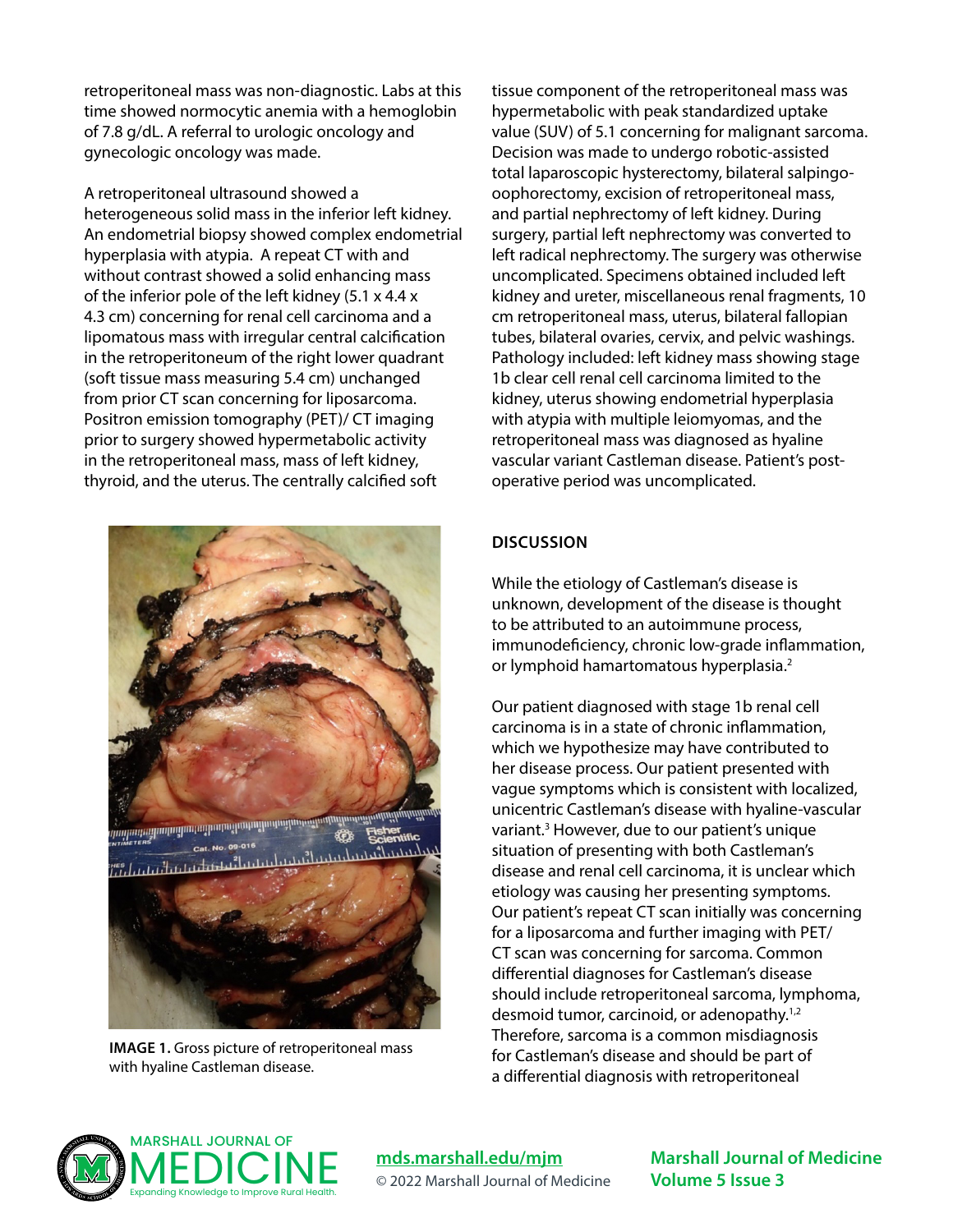retroperitoneal mass was non-diagnostic. Labs at this time showed normocytic anemia with a hemoglobin of 7.8 g/dL. A referral to urologic oncology and gynecologic oncology was made.

A retroperitoneal ultrasound showed a heterogeneous solid mass in the inferior left kidney. An endometrial biopsy showed complex endometrial hyperplasia with atypia. A repeat CT with and without contrast showed a solid enhancing mass of the inferior pole of the left kidney (5.1 x 4.4 x 4.3 cm) concerning for renal cell carcinoma and a lipomatous mass with irregular central calcification in the retroperitoneum of the right lower quadrant (soft tissue mass measuring 5.4 cm) unchanged from prior CT scan concerning for liposarcoma. Positron emission tomography (PET)/ CT imaging prior to surgery showed hypermetabolic activity in the retroperitoneal mass, mass of left kidney, thyroid, and the uterus. The centrally calcified soft



**IMAGE 1.** Gross picture of retroperitoneal mass with hyaline Castleman disease.

tissue component of the retroperitoneal mass was hypermetabolic with peak standardized uptake value (SUV) of 5.1 concerning for malignant sarcoma. Decision was made to undergo robotic-assisted total laparoscopic hysterectomy, bilateral salpingooophorectomy, excision of retroperitoneal mass, and partial nephrectomy of left kidney. During surgery, partial left nephrectomy was converted to left radical nephrectomy. The surgery was otherwise uncomplicated. Specimens obtained included left kidney and ureter, miscellaneous renal fragments, 10 cm retroperitoneal mass, uterus, bilateral fallopian tubes, bilateral ovaries, cervix, and pelvic washings. Pathology included: left kidney mass showing stage 1b clear cell renal cell carcinoma limited to the kidney, uterus showing endometrial hyperplasia with atypia with multiple leiomyomas, and the retroperitoneal mass was diagnosed as hyaline vascular variant Castleman disease. Patient's postoperative period was uncomplicated.

#### **DISCUSSION**

While the etiology of Castleman's disease is unknown, development of the disease is thought to be attributed to an autoimmune process, immunodeficiency, chronic low-grade inflammation, or lymphoid hamartomatous hyperplasia.<sup>2</sup>

Our patient diagnosed with stage 1b renal cell carcinoma is in a state of chronic inflammation, which we hypothesize may have contributed to her disease process. Our patient presented with vague symptoms which is consistent with localized, unicentric Castleman's disease with hyaline-vascular variant.<sup>3</sup> However, due to our patient's unique situation of presenting with both Castleman's disease and renal cell carcinoma, it is unclear which etiology was causing her presenting symptoms. Our patient's repeat CT scan initially was concerning for a liposarcoma and further imaging with PET/ CT scan was concerning for sarcoma. Common differential diagnoses for Castleman's disease should include retroperitoneal sarcoma, lymphoma, desmoid tumor, carcinoid, or adenopathy.<sup>1,2</sup> Therefore, sarcoma is a common misdiagnosis for Castleman's disease and should be part of a differential diagnosis with retroperitoneal



**[mds.marshall.edu/mjm](https://mds.marshall.edu/mjm/)** © 2022 Marshall Journal of Medicine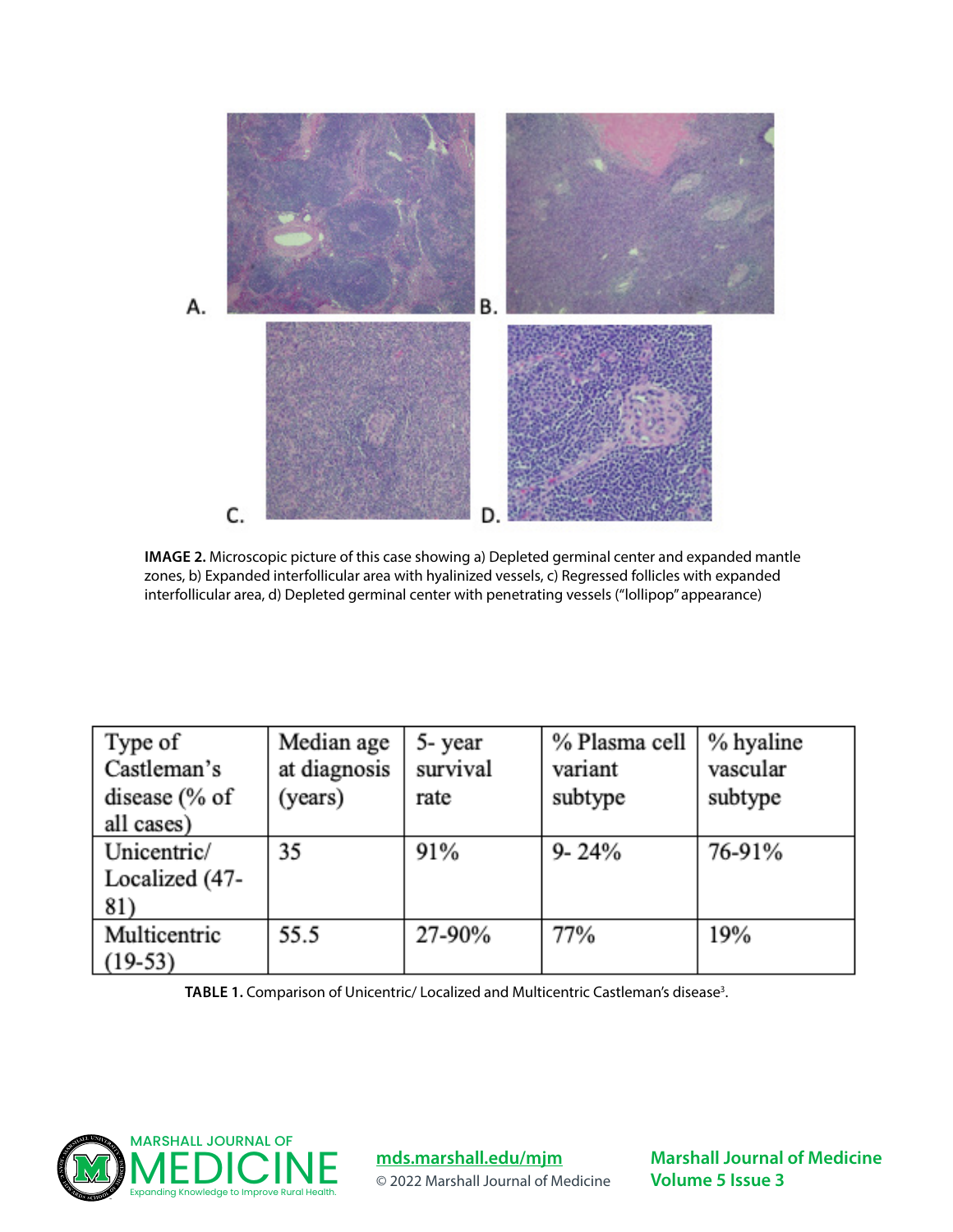

**IMAGE 2.** Microscopic picture of this case showing a) Depleted germinal center and expanded mantle zones, b) Expanded interfollicular area with hyalinized vessels, c) Regressed follicles with expanded interfollicular area, d) Depleted germinal center with penetrating vessels ("lollipop" appearance)

| Type of        | Median age   | 5-year   | % Plasma cell | % hyaline |
|----------------|--------------|----------|---------------|-----------|
| Castleman's    | at diagnosis | survival | variant       | vascular  |
| disease $% of$ | (years)      | rate     | subtype       | subtype   |
| all cases)     |              |          |               |           |
| Unicentric/    | 35           | 91%      | $9 - 24%$     | 76-91%    |
| Localized (47- |              |          |               |           |
| 81)            |              |          |               |           |
| Multicentric   | 55.5         | 27-90%   | 77%           | 19%       |
| $(19-53)$      |              |          |               |           |

TABLE 1. Comparison of Unicentric/ Localized and Multicentric Castleman's disease<sup>3</sup>.



**[mds.marshall.edu/mjm](https://mds.marshall.edu/mjm/)** © 2022 Marshall Journal of Medicine